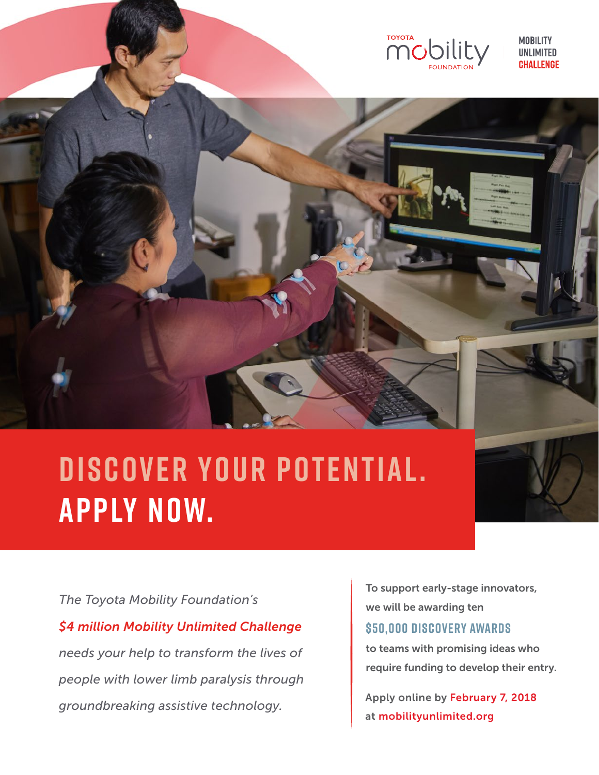

**MOBILITY IINI IMITED** 

# **discover your potential. apply now.**

*The Toyota Mobility Foundation's \$4 million Mobility Unlimited Challenge needs your help to transform the lives of people with lower limb paralysis through groundbreaking assistive technology.*

To support early-stage innovators, we will be awarding ten

## **\$50,000 Discovery AwardS**

to teams with promising ideas who require funding to develop their entry.

Apply online by February 7, 2018 at mobilityunlimited.org